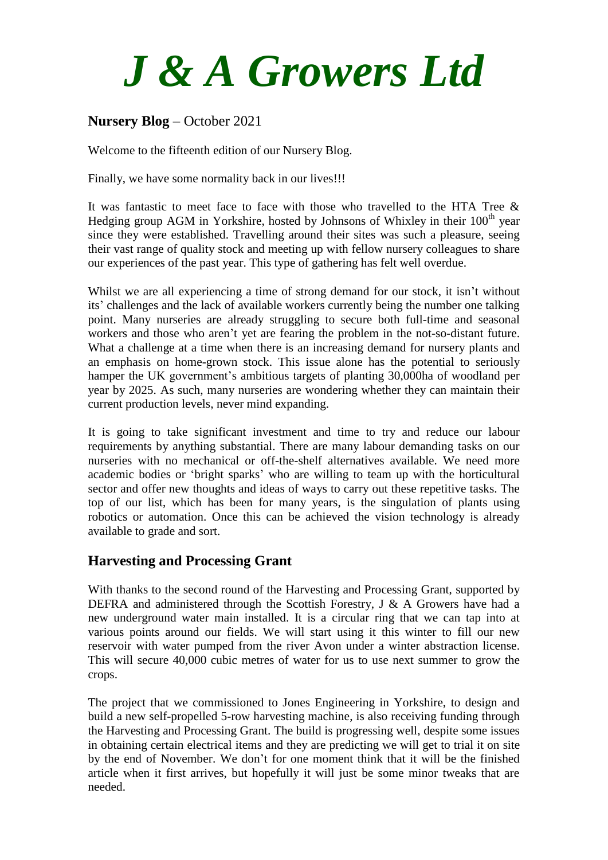

## **Nursery Blog** – October 2021

Welcome to the fifteenth edition of our Nursery Blog.

Finally, we have some normality back in our lives!!!

It was fantastic to meet face to face with those who travelled to the HTA Tree & Hedging group AGM in Yorkshire, hosted by Johnsons of Whixley in their  $100<sup>th</sup>$  year since they were established. Travelling around their sites was such a pleasure, seeing their vast range of quality stock and meeting up with fellow nursery colleagues to share our experiences of the past year. This type of gathering has felt well overdue.

Whilst we are all experiencing a time of strong demand for our stock, it isn't without its' challenges and the lack of available workers currently being the number one talking point. Many nurseries are already struggling to secure both full-time and seasonal workers and those who aren't yet are fearing the problem in the not-so-distant future. What a challenge at a time when there is an increasing demand for nursery plants and an emphasis on home-grown stock. This issue alone has the potential to seriously hamper the UK government's ambitious targets of planting 30,000ha of woodland per year by 2025. As such, many nurseries are wondering whether they can maintain their current production levels, never mind expanding.

It is going to take significant investment and time to try and reduce our labour requirements by anything substantial. There are many labour demanding tasks on our nurseries with no mechanical or off-the-shelf alternatives available. We need more academic bodies or 'bright sparks' who are willing to team up with the horticultural sector and offer new thoughts and ideas of ways to carry out these repetitive tasks. The top of our list, which has been for many years, is the singulation of plants using robotics or automation. Once this can be achieved the vision technology is already available to grade and sort.

## **Harvesting and Processing Grant**

With thanks to the second round of the Harvesting and Processing Grant, supported by DEFRA and administered through the Scottish Forestry, J & A Growers have had a new underground water main installed. It is a circular ring that we can tap into at various points around our fields. We will start using it this winter to fill our new reservoir with water pumped from the river Avon under a winter abstraction license. This will secure 40,000 cubic metres of water for us to use next summer to grow the crops.

The project that we commissioned to Jones Engineering in Yorkshire, to design and build a new self-propelled 5-row harvesting machine, is also receiving funding through the Harvesting and Processing Grant. The build is progressing well, despite some issues in obtaining certain electrical items and they are predicting we will get to trial it on site by the end of November. We don't for one moment think that it will be the finished article when it first arrives, but hopefully it will just be some minor tweaks that are needed.